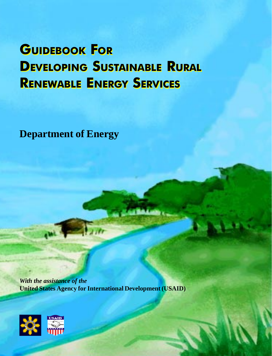# GUIDEBOOK FOR GUIDEBOOK FOR DEVELOPING SUSTAINABLE RURAL DEVELOPING SUSTAINABLE RURAL RENEWABLE ENERGY SERVICES RENEWABLE ENERGY SERVICES

**Department of Energy**

*With the assistance of the* **United States Agency for International Development (USAID)**

 $\sum_{i=1}^n$ 

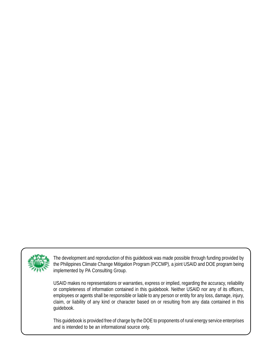

The development and reproduction of this guidebook was made possible through funding provided by the Philippines Climate Change Mitigation Program (PCCMP), a joint USAID and DOE program being implemented by PA Consulting Group.

USAID makes no representations or warranties, express or implied, regarding the accuracy, reliability or completeness of information contained in this guidebook. Neither USAID nor any of its officers, employees or agents shall be responsible or liable to any person or entity for any loss, damage, injury, claim, or liability of any kind or character based on or resulting from any data contained in this guidebook.

This guidebook is provided free of charge by the DOE to proponents of rural energy service enterprises and is intended to be an informational source only.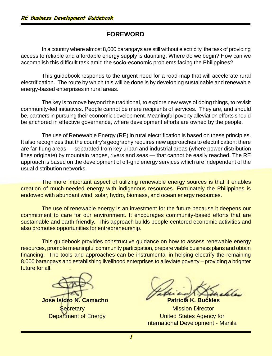# **FOREWORD**

In a country where almost 8,000 barangays are still without electricity, the task of providing access to reliable and affordable energy supply is daunting. Where do we begin? How can we accomplish this difficult task amid the socio-economic problems facing the Philippines?

This guidebook responds to the urgent need for a road map that will accelerate rural electrification. The route by which this will be done is by developing sustainable and renewable energy-based enterprises in rural areas.

The key is to move beyond the traditional, to explore new ways of doing things, to revisit community-led initiatives. People cannot be mere recipients of services. They are, and should be, partners in pursuing their economic development. Meaningful poverty alleviation efforts should be anchored in effective governance, where development efforts are owned by the people.

The use of Renewable Energy (RE) in rural electrification is based on these principles. It also recognizes that the country's geography requires new approaches to electrification: there are far-flung areas — separated from key urban and industrial areas (where power distribution lines originate) by mountain ranges, rivers and seas — that cannot be easily reached. The RE approach is based on the development of off-grid energy services which are independent of the usual distribution networks.

The more important aspect of utilizing renewable energy sources is that it enables creation of much-needed energy with indigenous resources. Fortunately the Philippines is endowed with abundant wind, solar, hydro, biomass, and ocean energy resources.

The use of renewable energy is an investment for the future because it deepens our commitment to care for our environment. It encourages community-based efforts that are sustainable and earth-friendly. This approach builds people-centered economic activities and also promotes opportunities for entrepreneurship.

This guidebook provides constructive guidance on how to assess renewable energy resources, promote meaningful community participation, prepare viable business plans and obtain financing. The tools and approaches can be instrumental in helping electrify the remaining 8,000 barangays and establishing livelihood enterprises to alleviate poverty – providing a brighter future for all.

**Jose Isidro N. Camacho Patricia K. Buckles** 

l h

**Secretary Mission Director Department of Energy** Department of Energy **Network** United States Agency for International Development - Manila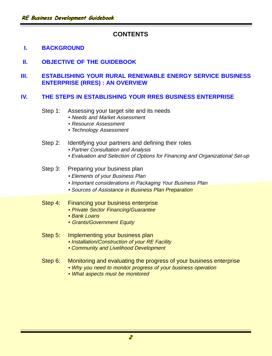# **CONTENTS**

# **I. BACKGROUND**

 **II. OBJECTIVE OF THE GUIDEBOOK**

# **III. ESTABLISHING YOUR RURAL RENEWABLE ENERGY SERVICE BUSINESS ENTERPRISE (RRES) : AN OVERVIEW**

### **IV. THE STEPS IN ESTABLISHING YOUR RRES BUSINESS ENTERPRISE**

- Step 1: Assessing your target site and its needs
	- Needs and Market Assessment
	- Resource Assessment
	- Technology Assessment
- Step 2: Identifying your partners and defining their roles
	- Partner Consultation and Analysis
	- Evaluation and Selection of Options for Financing and Organizational Set-up

### Step 3: Preparing your business plan

- Elements of your Business Plan
- Important considerations in Packaging Your Business Plan
- Sources of Assistance in Business Plan Preparation

### Step 4: Financing your business enterprise

- Private Sector Financing/Guarantee
- Bank Loans
- Grants/Government Equity

### Step 5: Implementing your business plan

- Installation/Construction of your RE Facility
- Community and Livelihood Development
- Step 6: Monitoring and evaluating the progress of your business enterprise
	- Why you need to monitor progress of your business operation
	- What aspects must be monitored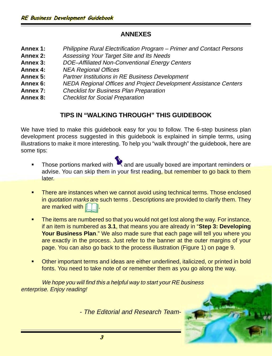# **ANNEXES**

- **Annex 1:** Philippine Rural Electrification Program Primer and Contact Persons **Annex 2:** Assessing Your Target Site and Its Needs **Annex 3:** DOE–Affiliated Non-Conventional Energy Centers **Annex 4:** NEA Regional Offices **Annex 5:** Partner Institutions in RE Business Development **Annex 6:** NEDA Regional Offices and Project Development Assistance Centers **Annex 7:** Checklist for Business Plan Preparation
- **Annex 8:** Checklist for Social Preparation

# **TIPS IN "WALKING THROUGH" THIS GUIDEBOOK**

We have tried to make this guidebook easy for you to follow. The 6-step business plan development process suggested in this guidebook is explained in simple terms, using illustrations to make it more interesting. To help you "walk through" the guidebook, here are some tips:

- Those portions marked with  $\mathbf{R}$  and are usually boxed are important reminders or advise. You can skip them in your first reading, but remember to go back to them later.
- There are instances when we cannot avoid using technical terms. Those enclosed in *quotation marks* are such terms . Descriptions are provided to clarify them. They are marked with II
- The items are numbered so that you would not get lost along the way. For instance, if an item is numbered as **3.1**, that means you are already in "**Step 3: Developing Your Business Plan**." We also made sure that each page will tell you where you are exactly in the process. Just refer to the banner at the outer margins of your page. You can also go back to the process illustration (Figure 1) on page 9.
- § Other important terms and ideas are either underlined, italicized, or printed in bold fonts. You need to take note of or remember them as you go along the way.

We hope you will find this a helpful way to start your RE business enterprise. Enjoy reading!

- The Editorial and Research Team-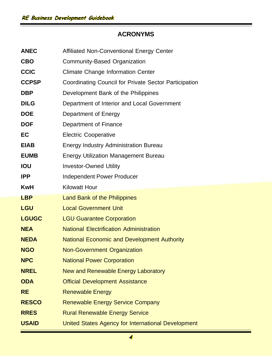# **ACRONYMS**

| <b>ANEC</b>  | Affiliated Non-Conventional Energy Center             |  |
|--------------|-------------------------------------------------------|--|
| <b>CBO</b>   | Community-Based Organization                          |  |
| <b>CCIC</b>  | <b>Climate Change Information Center</b>              |  |
| <b>CCPSP</b> | Coordinating Council for Private Sector Participation |  |
| <b>DBP</b>   | Development Bank of the Philippines                   |  |
| <b>DILG</b>  | Department of Interior and Local Government           |  |
| <b>DOE</b>   | Department of Energy                                  |  |
| <b>DOF</b>   | Department of Finance                                 |  |
| EC           | <b>Electric Cooperative</b>                           |  |
| <b>EIAB</b>  | Energy Industry Administration Bureau                 |  |
| <b>EUMB</b>  | <b>Energy Utilization Management Bureau</b>           |  |
| <b>IOU</b>   | <b>Investor-Owned Utility</b>                         |  |
| <b>IPP</b>   | Independent Power Producer                            |  |
| <b>KwH</b>   | <b>Kilowatt Hour</b>                                  |  |
| <b>LBP</b>   | Land Bank of the Philippines                          |  |
| <b>LGU</b>   | <b>Local Government Unit</b>                          |  |
| <b>LGUGC</b> | <b>LGU Guarantee Corporation</b>                      |  |
| <b>NEA</b>   | <b>National Electrification Administration</b>        |  |
| <b>NEDA</b>  | National Economic and Development Authority           |  |
| <b>NGO</b>   | Non-Government Organization                           |  |
| <b>NPC</b>   | <b>National Power Corporation</b>                     |  |
| <b>NREL</b>  | New and Renewable Energy Laboratory                   |  |
| <b>ODA</b>   | <b>Official Development Assistance</b>                |  |
| <b>RE</b>    | <b>Renewable Energy</b>                               |  |
| <b>RESCO</b> | <b>Renewable Energy Service Company</b>               |  |
| <b>RRES</b>  | <b>Rural Renewable Energy Service</b>                 |  |
| <b>USAID</b> | United States Agency for International Development    |  |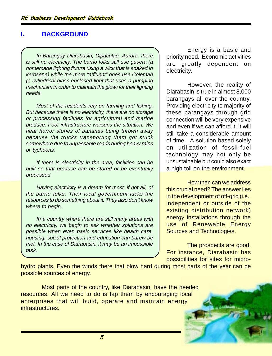# **I. BACKGROUND**

In Barangay Diarabasin, Dipaculao, Aurora, there is still no electricity. The barrio folks still use gasera (a homemade lighting fixture using a wick that is soaked in kerosene) while the more "affluent" ones use Coleman (a cylindrical glass-enclosed light that uses a pumping mechanism in order to maintain the glow) for their lighting needs.

Most of the residents rely on farming and fishing. But because there is no electricity, there are no storage or processing facilities for agricultural and marine produce. Poor infrastructure worsens the situation. We hear horror stories of bananas being thrown away because the trucks transporting them got stuck somewhere due to unpassable roads during heavy rains or typhoons.

If there is electricity in the area, facilities can be built so that produce can be stored or be eventually processed.

Having electricity is a dream for most, if not all, of the barrio folks. Their local government lacks the resources to do something about it. They also don't know where to begin.

In a country where there are still many areas with no electricity, we begin to ask whether solutions are possible when even basic services like health care, housing, social protection and education can barely be met. In the case of Diarabasin, it may be an impossible task.

Energy is a basic and priority need. Economic activities are greatly dependent on electricity.

However, the reality of Diarabasin is true in almost 8,000 barangays all over the country. Providing electricity to majority of these barangays through grid connection will be very expensive and even if we can afford it, it will still take a considerable amount of time. A solution based solely on utilization of fossil-fuel technology may not only be unsustainable but could also exact a high toll on the environment.

How then can we address this crucial need? The answer lies in the development of off-grid (i.e., independent or outside of the existing distribution network) energy installations through the use of Renewable Energy Sources and Technologies.

The prospects are good. For instance, Diarabasin has possibilities for sites for micro-

hydro plants. Even the winds there that blow hard during most parts of the year can be possible sources of energy.

Most parts of the country, like Diarabasin, have the needed resources. All we need to do is tap them by encouraging local enterprises that will build, operate and maintain energy infrastructures.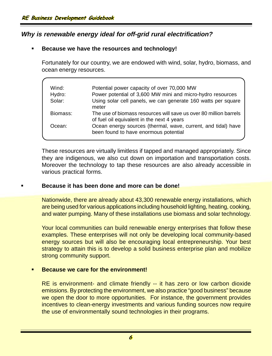# **Why is renewable energy ideal for off-grid rural electrification?**

# § **Because we have the resources and technology!**

Fortunately for our country, we are endowed with wind, solar, hydro, biomass, and ocean energy resources.

| Wind:<br>Hydro: | Potential power capacity of over 70,000 MW<br>Power potential of 3,600 MW mini and micro-hydro resources        |
|-----------------|-----------------------------------------------------------------------------------------------------------------|
|                 |                                                                                                                 |
| Solar:          | Using solar cell panels, we can generate 160 watts per square<br>meter                                          |
| Biomass:        | The use of biomass resources will save us over 80 million barrels<br>of fuel oil equivalent in the next 4 years |
| Ocean:          | Ocean energy sources (thermal, wave, current, and tidal) have<br>been found to have enormous potential          |

These resources are virtually limitless if tapped and managed appropriately. Since they are indigenous, we also cut down on importation and transportation costs. Moreover the technology to tap these resources are also already accessible in various practical forms.

### § **Because it has been done and more can be done!**

Nationwide, there are already about 43,300 renewable energy installations, which are being used for various applications including household lighting, heating, cooking, and water pumping. Many of these installations use biomass and solar technology.

Your local communities can build renewable energy enterprises that follow these examples. These enterprises will not only be developing local community-based energy sources but will also be encouraging local entrepreneurship. Your best strategy to attain this is to develop a solid business enterprise plan and mobilize strong community support.

# § **Because we care for the environment!**

RE is environment- and climate friendly -- it has zero or low carbon dioxide emissions. By protecting the environment, we also practice "good business" because we open the door to more opportunities. For instance, the government provides incentives to clean-energy investments and various funding sources now require the use of environmentally sound technologies in their programs.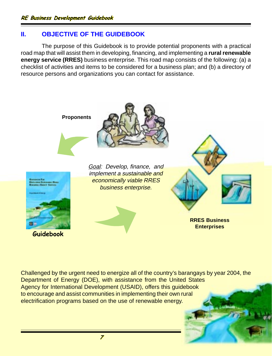# **II. OBJECTIVE OF THE GUIDEBOOK**

The purpose of this Guidebook is to provide potential proponents with a practical road map that will assist them in developing, financing, and implementing a **rural renewable energy service (RRES)** business enterprise. This road map consists of the following: (a) a checklist of activities and items to be considered for a business plan; and (b) a directory of resource persons and organizations you can contact for assistance.



Challenged by the urgent need to energize all of the country's barangays by year 2004, the Department of Energy (DOE), with assistance from the United States Agency for International Development (USAID), offers this guidebook to encourage and assist communities in implementing their own rural electrification programs based on the use of renewable energy.

7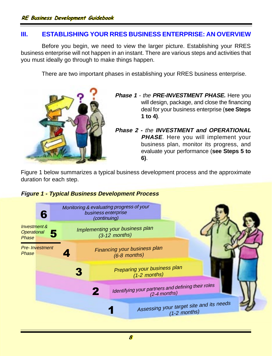# **III. ESTABLISHING YOUR RRES BUSINESS ENTERPRISE: AN OVERVIEW**

Before you begin, we need to view the larger picture. Establishing your RRES business enterprise will not happen in an instant. There are various steps and activities that you must ideally go through to make things happen.

There are two important phases in establishing your RRES business enterprise.



- **Phase 1**  the **PRE-INVESTMENT PHASE.** Here you will design, package, and close the financing deal for your business enterprise (**see Steps 1 to 4)**.
- **Phase 2 -** the **INVESTMENT and OPERATIONAL PHASE**. Here you will implement your business plan, monitor its progress, and evaluate your performance (**see Steps 5 to 6)**.

Figure 1 below summarizes a typical business development process and the approximate duration for each step.

# **Figure 1 - Typical Business Development Process**

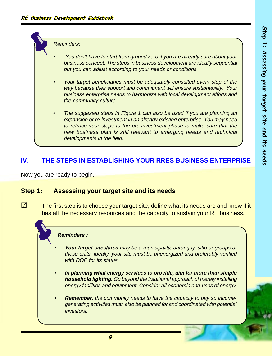Reminders:

- •You don't have to start from ground zero if you are already sure about your business concept. The steps in business development are ideally sequential but you can adjust according to your needs or conditions.
- •Your target beneficiaries must be adequately consulted every step of the way because their support and commitment will ensure sustainability. Your business enterprise needs to harmonize with local development efforts and the community culture.
- The suggested steps in Figure 1 can also be used if you are planning an expansion or re-investment in an already existing enterprise. You may need to retrace your steps to the pre-investment phase to make sure that the new business plan is still relevant to emerging needs and technical developments in the field.

# **IV. THE STEPS IN ESTABLISHING YOUR RRES BUSINESS ENTERPRISE**

Now you are ready to begin.

# **Step 1: Assessing your target site and its needs**

 $\boxtimes$  The first step is to choose your target site, define what its needs are and know if it has all the necessary resources and the capacity to sustain your RE business.

### **Reminders :**

- • **Your target sites/area** may be a municipality, barangay, sitio or groups of these units. Ideally, your site must be unenergized and preferably verified with DOE for its status.
- • **In planning what energy services to provide, aim for more than simple household lighting**. Go beyond the traditional approach of merely installing energy facilities and equipment. Consider all economic end-uses of energy.
- • **Remember**, the community needs to have the capacity to pay so incomegenerating activities must also be planned for and coordinated with potential investors.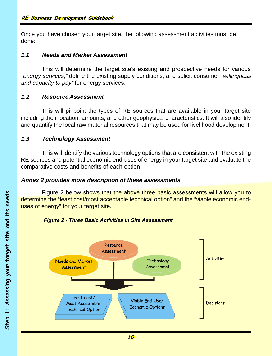Once you have chosen your target site, the following assessment activities must be done:

### **1.1 Needs and Market Assessment**

This will determine the target site's existing and prospective needs for various "energy services," define the existing supply conditions, and solicit consumer "willingness" and capacity to pay" for energy services.

# **1.2 Resource Assessment**

This will pinpoint the types of RE sources that are available in your target site including their location, amounts, and other geophysical characteristics. It will also identify and quantify the local raw material resources that may be used for livelihood development.

# **1.3 Technology Assessment**

This will identify the various technology options that are consistent with the existing RE sources and potential economic end-uses of energy in your target site and evaluate the comparative costs and benefits of each option.

### **Annex 2 provides more description of these assessments.**

Figure 2 below shows that the above three basic assessments will allow you to determine the "least cost/most acceptable technical option" and the "viable economic enduses of energy" for your target site.



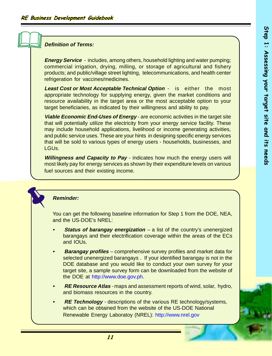### **Definition of Terms:**

**Energy Service** - includes, among others, household lighting and water pumping; commercial irrigation, drying, milling, or storage of agricultural and fishery products; and public/village street lighting, telecommunications, and health center refrigeration for vaccines/medicines.

**Least Cost or Most Acceptable Technical Option** - is either the most appropriate technology for supplying energy, given the market conditions and resource availability in the target area or the most acceptable option to your target beneficiaries, as indicated by their willingness and ability to pay.

**Viable Economic End-Uses of Energy** - are economic activities in the target site that will potentially utilize the electricity from your energy service facility. These may include household applications, livelihood or income generating activities, and public service uses. These are your hints in designing specific energy services that will be sold to various types of energy users - households, businesses, and LGUs.

**Willingness and Capacity to Pay** - indicates how much the energy users will most likely pay for energy services as shown by their expenditure levels on various fuel sources and their existing income.

### **Reminder:**

You can get the following baseline information for Step 1 from the DOE, NEA, and the US-DOE's NREL:

- **•Status of barangay energization** – a list of the country's unenergized barangays and their electrification coverage within the areas of the ECs and IOUs.
- **•Barangay profiles** – comprehensive survey profiles and market data for selected unenergized barangays . If your identified barangay is not in the DOE database and you would like to conduct your own survey for your target site, a sample survey form can be downloaded from the website of the DOE at http://www.doe.gov.ph.
- **• RE Resource Atlas** - maps and assessment reports of wind, solar, hydro, and biomass resources in the country.
- **•RE Technology** - descriptions of the various RE technology/systems, which can be obtained from the website of the US-DOE National Renewable Energy Laboratoy (NREL): http://www.nrel.gov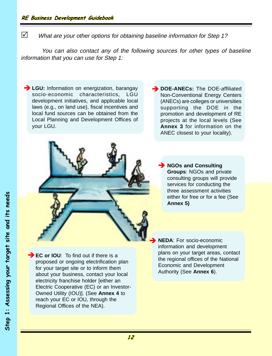$\mathbb N$  What are your other options for obtaining baseline information for Step 1?

You can also contact any of the following sources for other types of baseline information that you can use for Step 1:

**EGU:** Information on energization, barangay socio-economic characteristics, LGU development initiatives, and applicable local laws (e.g., on land use), fiscal incentives and local fund sources can be obtained from the Local Planning and Development Offices of your LGU.

**DOE-ANECs:** The DOE-affiliated Non-Conventional Energy Centers (ANECs) are colleges or universities supporting the DOE in the promotion and development of RE projects at the local levels (See **Annex 3** for information on the ANEC closest to your locality).



**NGOs and Consulting Groups**: NGOs and private consulting groups will provide services for conducting the three assessment activities either for free or for a fee (See **Annex 5)**

è

**EC or IOU**: To find out if there is a proposed or ongoing electrification plan for your target site or to inform them about your business, contact your local electricity franchise holder [either an Electric Cooperative (EC) or an Investor-Owned Utility (IOU)]. (See **Annex 4** to reach your EC or IOU, through the Regional Offices of the NEA). è

**NEDA**: For socio-economic information and development plans on your target areas, contact the regional offices of the National Economic and Development Authority (See **Annex 6**).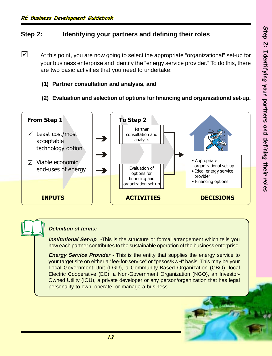# **Step 2: Identifying your partners and defining their roles**

- $\triangledown$  At this point, you are now going to select the appropriate "organizational" set-up for your business enterprise and identify the "energy service provider." To do this, there are two basic activities that you need to undertake:
	- **(1) Partner consultation and analysis, and**
	- **(2) Evaluation and selection of options for financing and organizational set-up.**



### **Definition of terms:**

*Institutional Set-up -This is the structure or formal arrangement which tells you* how each partner contributes to the sustainable operation of the business enterprise.

**Energy Service Provider -** This is the entity that supplies the energy service to your target site on either a "fee-for-service" or "pesos/KwH" basis. This may be your Local Government Unit (LGU), a Community-Based Organization (CBO), local Electric Cooperative (EC), a Non-Government Organization (NGO), an Investor-Owned Utility (IOU), a private developer or any person/organization that has legal personality to own, operate, or manage a business.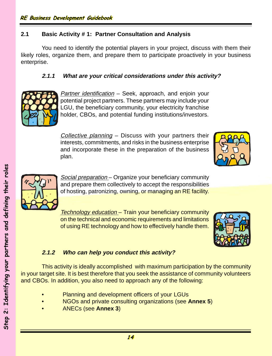# **2.1 Basic Activity # 1: Partner Consultation and Analysis**

You need to identify the potential players in your project, discuss with them their likely roles, organize them, and prepare them to participate proactively in your business enterprise.

# **2.1.1 What are your critical considerations under this activity?**



Partner identification - Seek, approach, and enjoin your potential project partners. These partners may include your LGU, the beneficiary community, your electricity franchise holder, CBOs, and potential funding institutions/investors.

Collective planning – Discuss with your partners their interests, commitments, and risks in the business enterprise and incorporate these in the preparation of the business plan.





Social preparation – Organize your beneficiary community and prepare them collectively to accept the responsibilities of hosting, patronizing, owning, or managing an RE facility.

Technology education – Train your beneficiary community on the technical and economic requirements and limitations of using RE technology and how to effectively handle them.



# **2.1.2 Who can help you conduct this activity?**

This activity is ideally accomplished with maximum participation by the community in your target site. It is best therefore that you seek the assistance of community volunteers and CBOs. In addition, you also need to approach any of the following:

- Planning and development officers of your LGUs
- NGOs and private consulting organizations (see **Annex 5**)
- ANECs (see **Annex 3**)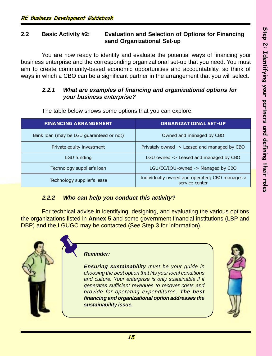# **2.2 Basic Activity #2: Evaluation and Selection of Options for Financing sand Organizational Set-up**

You are now ready to identify and evaluate the potential ways of financing your business enterprise and the corresponding organizational set-up that you need. You must aim to create community-based economic opportunities and accountability, so think of ways in which a CBO can be a significant partner in the arrangement that you will select.

# **2.2.1 What are examples of financing and organizational options for your business enterprise?**

| <b>FINANCING ARRANGEMENT</b>             | <b>ORGANIZATIONAL SET-UP</b>                                     |
|------------------------------------------|------------------------------------------------------------------|
| Bank loan (may be LGU guaranteed or not) | Owned and managed by CBO                                         |
| Private equity investment                | Privately owned -> Leased and managed by CBO                     |
| <b>LGU funding</b>                       | LGU owned -> Leased and managed by CBO                           |
| Technology supplier's loan               | LGU/EC/IOU-owned -> Managed by CBO                               |
| Technology supplier's lease              | Individually owned and operated; CBO manages a<br>service-center |

The table below shows some options that you can explore.

# **2.2.2 Who can help you conduct this activity?**

For technical advise in identifying, designing, and evaluating the various options, the organizations listed in **Annex 5** and some government financial institutions (LBP and DBP) and the LGUGC may be contacted (See Step 3 for information).

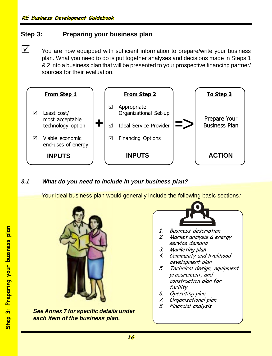# **Step 3: Preparing your business plan**

 $\triangledown$  You are now equipped with sufficient information to prepare/write your business plan. What you need to do is put together analyses and decisions made in Steps 1 & 2 into a business plan that will be presented to your prospective financing partner/ sources for their evaluation.



# **3.1 What do you need to include in your business plan?**

Your ideal business plan would generally include the following basic sections:



**See Annex 7 for specific details under each item of the business plan.**

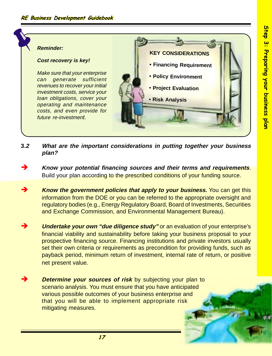### **KEY CONSIDERATIONS • Financing Requirement • Policy Environment • Project Evaluation • Risk Analysis Reminder: Cost recovery is key!** Make sure that your enterprise can generate sufficient revenues to recover your initial investment costs, service your loan obligations, cover your operating and maintenance costs, and even provide for future re-investment.

- **3.2 What are the important considerations in putting together your business plan?**
- è **Know your potential financing sources and their terms and requirements**. Build your plan according to the prescribed conditions of your funding source.
- **Know the government policies that apply to your business.** You can get this information from the DOE or you can be referred to the appropriate oversight and regulatory bodies (e.g., Energy Regulatory Board, Board of Investments, Securities and Exchange Commission, and Environmental Management Bureau).
- **Undertake your own "due diligence study"** or an evaluation of your enterprise's financial viability and sustainability before taking your business proposal to your prospective financing source. Financing institutions and private investors usually set their own criteria or requirements as precondition for providing funds, such as payback period, minimum return of investment, internal rate of return, or positive net present value.
- **Determine your sources of risk** by subjecting your plan to scenario analysis. You must ensure that you have anticipated various possible outcomes of your business enterprise and that you will be able to implement appropriate risk mitigating measures.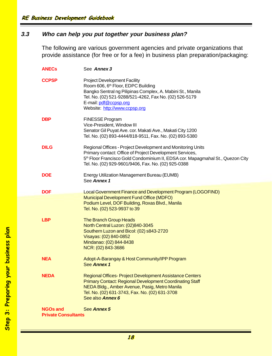# **3.3 Who can help you put together your business plan?**

The following are various government agencies and private organizations that provide assistance (for free or for a fee) in business plan preparation/packaging:

| <b>ANECs</b>                                  | See Annex 3                                                                                                                                                                                                                                                                  |
|-----------------------------------------------|------------------------------------------------------------------------------------------------------------------------------------------------------------------------------------------------------------------------------------------------------------------------------|
| <b>CCPSP</b>                                  | <b>Project Development Facility</b><br>Room 606, 6 <sup>th</sup> Floor, EDPC Building<br>Bangko Sentral ng Pilipinas Complex, A. Mabini St., Manila<br>Tel. No. (02) 521-9288/521-4262, Fax No. (02) 526-5179<br>E-mail: pdf@ccpsp.org<br>Website: http://www.ccpsp.org      |
| <b>DBP</b>                                    | <b>FINESSE Program</b><br>Vice-President, Window III<br>Senator Gil Puyat Ave. cor. Makati Ave., Makati City 1200<br>Tel. No. (02) 893-4444/818-9511, Fax. No. (02) 893-5380                                                                                                 |
| <b>DILG</b>                                   | Regional Offices - Project Development and Monitoring Units<br>Primary contact: Office of Project Development Services,<br>5 <sup>th</sup> Floor Francisco Gold Condominium II, EDSA cor. Mapagmahal St., Quezon City<br>Tel. No. (02) 929-9601/9406, Fax. No. (02) 925-0388 |
| <b>DOE</b>                                    | Energy Utilization Management Bureau (EUMB)<br>See Annex 1                                                                                                                                                                                                                   |
| <b>DOF</b>                                    | Local Government Finance and Development Program (LOGOFIND)<br>Municipal Development Fund Office (MDFO)<br>Podium Level, DOF Building, Roxas Blvd., Manila<br>Tel. No. (02) 523-9937 to 39                                                                                   |
| <b>LBP</b>                                    | <b>The Branch Group Heads</b><br>North Central Luzon: (02)840-3045<br>Southern Luzon and Bicol: (02) s843-2720<br>Visayas: (02) 840-0852<br>Mindanao: (02) 844-8438<br>NCR: (02) 843-3686                                                                                    |
| <b>NEA</b>                                    | Adopt-A-Barangay & Host Community/IPP Program<br>See Annex 1                                                                                                                                                                                                                 |
| <b>NEDA</b>                                   | <b>Regional Offices-Project Development Assistance Centers</b><br><b>Primary Contact: Regional Development Coordinating Staff</b><br>NEDA Bldg., Amber Avenue, Pasig, Metro Manila<br>Tel. No. (02) 631-3743, Fax. No. (02) 631-3708<br>See also <b>Annex 6</b>              |
| <b>NGOs and</b><br><b>Private Consultants</b> | See Annex 5                                                                                                                                                                                                                                                                  |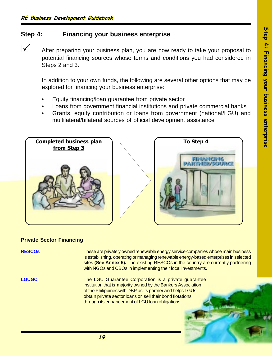# **Step 4: Financing your business enterprise**

 $\triangledown$  After preparing your business plan, you are now ready to take your proposal to potential financing sources whose terms and conditions you had considered in Steps 2 and 3.

In addition to your own funds, the following are several other options that may be explored for financing your business enterprise:

- Equity financing/loan guarantee from private sector
- Loans from government financial institutions and private commercial banks
- Grants, equity contribution or loans from government (national/LGU) and multilateral/bilateral sources of official development assistance



### **Private Sector Financing**

**RESCOs** These are privately owned renewable energy service companies whose main business is establishing, operating or managing renewable energy-based enterprises in selected sites **(See Annex 5).** The existing RESCOs in the country are currently partnering with NGOs and CBOs in implementing their local investments. **LGUGC** The LGU Guarantee Corporation is a private quarantee institution that is majority owned by the Bankers Association of the Philippines with DBP as its partner and helps LGUs obtain private sector loans or sell their bond flotations through its enhancement of LGU loan obligations.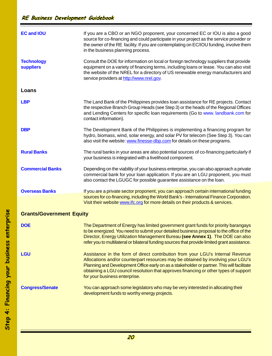$\overline{\phantom{a}}$ 

| <b>EC and IOU</b>                     | If you are a CBO or an NGO proponent, your concerned EC or IOU is also a good<br>source for co-financing and could participate in your project as the service provider or<br>the owner of the RE facility. If you are contemplating on EC/IOU funding, involve them<br>in the business planning process.                                                                                  |
|---------------------------------------|-------------------------------------------------------------------------------------------------------------------------------------------------------------------------------------------------------------------------------------------------------------------------------------------------------------------------------------------------------------------------------------------|
| <b>Technology</b><br><b>suppliers</b> | Consult the DOE for information on local or foreign technology suppliers that provide<br>equipment on a variety of financing terms, including loans or lease. You can also visit<br>the website of the NREL for a directory of US renewable energy manufacturers and<br>service providers at http://www.nrel.gov.                                                                         |
| Loans                                 |                                                                                                                                                                                                                                                                                                                                                                                           |
| <b>LBP</b>                            | The Land Bank of the Philippines provides loan assistance for RE projects. Contact<br>the respective Branch Group Heads (see Step 3) or the heads of the Regional Offices<br>and Lending Centers for specific loan requirements (Go to www. landbank.com for<br>contact information).                                                                                                     |
| <b>DBP</b>                            | The Development Bank of the Philippines is implementing a financing program for<br>hydro, biomass, wind, solar energy, and solar PV for telecom (See Step 3). You can<br>also visit the website: www.finesse-dbp.com for details on these programs.                                                                                                                                       |
| <b>Rural Banks</b>                    | The rural banks in your areas are also potential sources of co-financing particularly if<br>your business is integrated with a livelihood component.                                                                                                                                                                                                                                      |
| <b>Commercial Banks</b>               | Depending on the viability of your business enterprise, you can also approach a private<br>commercial bank for your loan application. If you are an LGU proponent, you must<br>also contact the LGUGC for possible guarantee assistance on the loan.                                                                                                                                      |
| <b>Overseas Banks</b>                 | If you are a private sector proponent, you can approach certain international funding<br>sources for co-financing, including the World Bank's - International Finance Corporation.<br>Visit their website www.ifc.org for more details on their products & services.                                                                                                                      |
| <b>Grants/Government Equity</b>       |                                                                                                                                                                                                                                                                                                                                                                                           |
| <b>DOE</b>                            | The Department of Energy has limited government grant funds for priority barangays<br>to be energized. You need to submit your detailed business proposal to the office of the<br>Director, Energy Utilization Management Bureau (see Annex 1). The DOE can also<br>refer you to multilateral or bilateral funding sources that provide limited grant assistance.                         |
| <b>LGU</b>                            | Assistance in the form of direct contribution from your LGU's Internal Revenue<br>Allocations and/or counterpart resources may be obtained by involving your LGU's<br>Planning and Development Office early on as a stakeholder or partner. This will facilitate<br>obtaining a LGU council resolution that approves financing or other types of support<br>for your business enterprise. |
| <b>Congress/Senate</b>                | You can approach some legislators who may be very interested in allocating their<br>development funds to worthy energy projects.                                                                                                                                                                                                                                                          |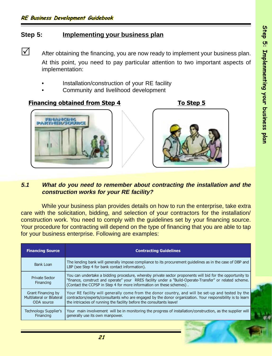# **Step 5: Implementing your business plan**

 $\triangledown$  After obtaining the financing, you are now ready to implement your business plan. At this point, you need to pay particular attention to two important aspects of implementation:

- Installation/construction of your RE facility
- Community and livelihood development

# Financing obtained from Step 4 To Step 5



### **5.1 What do you need to remember about contracting the installation and the construction works for your RE facility?**

While your business plan provides details on how to run the enterprise, take extra care with the solicitation, bidding, and selection of your contractors for the installation/ construction work. You need to comply with the guidelines set by your financing source. Your procedure for contracting will depend on the type of financing that you are able to tap for your business enterprise. Following are examples:

| <b>Financing Source</b>                                       | <b>Contracting Guidelines</b>                                                                                                                                                                                                                                                               |
|---------------------------------------------------------------|---------------------------------------------------------------------------------------------------------------------------------------------------------------------------------------------------------------------------------------------------------------------------------------------|
| Bank Loan                                                     | The lending bank will generally impose compliance to its procurement quidelines as in the case of DBP and<br>LBP (see Step 4 for bank contact information).                                                                                                                                 |
| <b>Private Sector</b><br>Financing                            | You can undertake a bidding procedure, whereby private sector proponents will bid for the opportunity to<br>"finance, construct and operate" your RRES facility under a "Build-Operate-Transfer" or related scheme.<br>(Contact the CCPSP in Step 4 for more information on these schemes). |
| Grant Financing by<br>Multilateral or Bilateral<br>ODA source | Your RE facility will generally come from the donor country, and will be set-up and tested by the<br>contractors/experts/consultants who are engaged by the donor organization. Your responsibility is to learn<br>the intricacies of running the facility before the consultants leave!    |
| Technology Supplier's<br>Financing                            | Your main involvement will be in monitoring the progress of installation/construction, as the supplier will<br>generally use its own manpower.                                                                                                                                              |

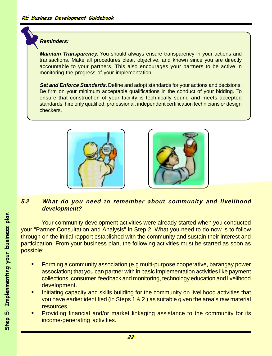### **Reminders:**

**Maintain Transparency.** You should always ensure transparency in your actions and transactions. Make all procedures clear, objective, and known since you are directly accountable to your partners. This also encourages your partners to be active in monitoring the progress of your implementation.

**Set and Enforce Standards.** Define and adopt standards for your actions and decisions. Be firm on your minimum acceptable qualifications in the conduct of your bidding. To ensure that construction of your facility is technically sound and meets accepted standards, hire only qualified, professional, independent certification technicians or design checkers.





# **5.2 What do you need to remember about community and livelihood development?**

Your community development activities were already started when you conducted your "Partner Consultation and Analysis" in Step 2. What you need to do now is to follow through on the initial rapport established with the community and sustain their interest and participation. From your business plan, the following activities must be started as soon as possible:

- **•** Forming a community association (e.g multi-purpose cooperative, barangay power association) that you can partner with in basic implementation activities like payment collections, consumer feedback and monitoring, technology education and livelihood development.
- **•** Initiating capacity and skills building for the community on livelihood activities that you have earlier identified (in Steps 1 & 2 ) as suitable given the area's raw material resources.
- **•** Providing financial and/or market linkaging assistance to the community for its income-generating activities.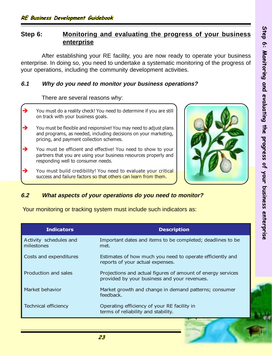# **Step 6: Monitoring and evaluating the progress of your business enterprise**

After establishing your RE facility, you are now ready to operate your business enterprise. In doing so, you need to undertake a systematic monitoring of the progress of your operations, including the community development activities.

# **6.1 Why do you need to monitor your business operations?**

### There are several reasons why:

|   | You must do a reality check! You need to determine if you are still<br>on track with your business goals.                                                                        |  |
|---|----------------------------------------------------------------------------------------------------------------------------------------------------------------------------------|--|
| → | You must be flexible and responsive! You may need to adjust plans<br>and programs, as needed, including decisions on your marketing,<br>pricing, and payment collection schemes. |  |
|   | You must be efficient and effective! You need to show to your<br>partners that you are using your business resources properly and<br>responding well to consumer needs.          |  |
| - | You must build credibility! You need to evaluate your critical<br>success and failure factors so that others can learn from them.                                                |  |
|   |                                                                                                                                                                                  |  |



# **6.2 What aspects of your operations do you need to monitor?**

Your monitoring or tracking system must include such indicators as:

| <b>Indicators</b>                    | <b>Description</b>                                                                                          |
|--------------------------------------|-------------------------------------------------------------------------------------------------------------|
| Activity schedules and<br>milestones | Important dates and items to be completed; deadlines to be<br>met.                                          |
| Costs and expenditures               | Estimates of how much you need to operate efficiently and<br>reports of your actual expenses.               |
| Production and sales                 | Projections and actual figures of amount of energy services<br>provided by your business and your revenues. |
| Market behavior                      | Market growth and change in demand patterns; consumer<br>feedback.                                          |
| <b>Technical efficiency</b>          | Operating efficiency of your RE facility in<br>terms of reliability and stability.                          |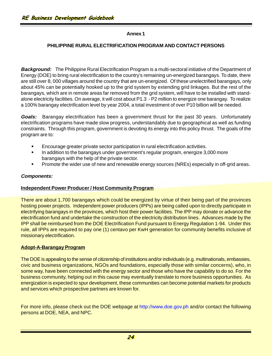### **PHILIPPINE RURAL ELECTRIFICATION PROGRAM AND CONTACT PERSONS**

**Background:** The Philippine Rural Electrification Program is a multi-sectoral initiative of the Department of Energy (DOE) to bring rural electrification to the country's remaining un-energized barangays. To date, there are still over 8, 000 villages around the country that are un-energized. Of these unelectrified barangays, only about 45% can be potentially hooked up to the grid system by extending grid linkages. But the rest of the barangays, which are in remote areas far removed from the grid system, will have to be installed with standalone electricity facilities. On average, it will cost about P1.3 - P2 million to energize one barangay. To realize a 100% barangay electrification level by year 2004, a total investment of over P10 billion will be needed.

**Goals:** Barangay electrification has been a government thrust for the past 30 years. Unfortunately electrification programs have made slow progress, understandably due to geographical as well as funding constraints. Through this program, government is devoting its energy into this policy thrust. The goals of the program are to:

- § Encourage greater private sector participation in rural electrification activities.
- In addition to the barangays under government's regular program, energize 3,000 more barangays with the help of the private sector.
- § Promote the wider use of new and renewable energy sources (NREs) especially in off-grid areas.

### **Components:**

### **Independent Power Producer / Host Community Program**

There are about 1,700 barangays which could be energized by virtue of their being part of the provinces hosting power projects. Independent power producers (IPPs) are being called upon to directly participate in electrifying barangays in the provinces, which host their power facilities. The IPP may donate or advance the electrification fund and undertake the construction of the electricity distribution lines. Advances made by the IPP shall be reimbursed from the DOE Electrification Fund pursuant to Energy Regulation 1-94. Under this rule, all IPPs are required to pay one (1) centavo per KwH generation for community benefits inclusive of missionary electrification.

### **Adopt-A-Barangay Program**

The DOE is appealing to the sense of citizenship of institutions and/or individuals (e.g. multinationals, embassies, civic and business organizations, NGOs and foundations, especially those with similar concerns), who, in some way, have been connected with the energy sector and those who have the capability to do so. For the business community, helping out in this cause may eventually translate to more business opportunities. As energization is expected to spur development, these communities can become potential markets for products and services which prospective partners are known for.

For more info, please check out the DOE webpage at http://www.doe.gov.ph and/or contact the following persons at DOE, NEA, and NPC.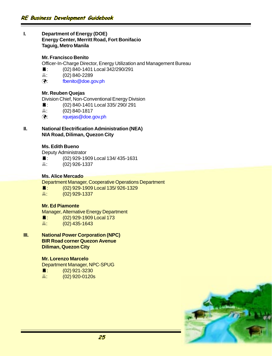### **I. Department of Energy (DOE) Energy Center, Merritt Road, Fort Bonifacio Taguig, Metro Manila**

### **Mr. Francisco Benito**

Officer-In-Charge Director, Energy Utilization and Management Bureau

- É: (02) 840-1401 Local 342/290/291
- $\Box$  (02) 840-2289
- ü: fbenito@doe.gov.ph

### **Mr. Reuben Quejas**

Division Chief, Non-Conventional Energy Division

- É: (02) 840-1401 Local 335/ 290/ 291
- $\Box$ : (02) 840-1817
- ü: rquejas@doe.gov.ph

### **II. National Electrification Administration (NEA) NIA Road, Diliman, Quezon City**

### **Ms. Edith Bueno**

Deputy Administrator

- É: (02) 929-1909 Local 134/ 435-1631
- $\Box$  (02) 926-1337

### **Ms. Alice Mercado**

Department Manager, Cooperative Operations Department

- É: (02) 929-1909 Local 135/ 926-1329
- $\Box$  (02) 929-1337

### **Mr. Ed Piamonte**

Manager, Alternative Energy Department

- ■: (02) 929-1909 Local 173
- $\frac{1}{2}$ : (02) 435-1643
- **III. National Power Corporation (NPC) BIR Road corner Quezon Avenue Diliman, Quezon City**

### **Mr. Lorenzo Marcelo**

Department Manager, NPC-SPUG

- $\bullet$ : (02) 921-3230
- $\frac{1}{2}$ : (02) 920-0120s

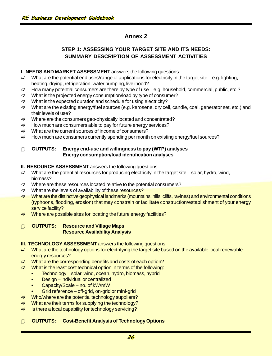# **STEP 1: ASSESSING YOUR TARGET SITE AND ITS NEEDS: SUMMARY DESCRIPTION OF ASSESSMENT ACTIVITIES**

### **I. NEEDS AND MARKET ASSESSMENT** answers the following questions:

- $\Rightarrow$  What are the potential end uses/range of applications for electricity in the target site e.g. lighting, heating, drying, refrigeration, water pumping, livelihood?
- $\Rightarrow$  How many potential consumers are there by type of use e.g. household, commercial, public, etc.?
- $\Rightarrow$  What is the projected energy consumption/load by type of consumer?
- $\Rightarrow$  What is the expected duration and schedule for using electricity?
- $\Rightarrow$  What are the existing energy/fuel sources (e.g. kerosene, dry cell, candle, coal, generator set, etc.) and their levels of use?
- $\Rightarrow$  Where are the consumers geo-physically located and concentrated?
- $\Rightarrow$  How much are consumers able to pay for future energy services?
- $\Rightarrow$  What are the current sources of income of consumers?
- $\Rightarrow$  How much are consumers currently spending per month on existing energy/fuel sources?

### 1 **OUTPUTS: Energy end-use and willingness to pay (WTP) analyses Energy consumption/load identification analyses**

### **II. RESOURCE ASSESSMENT** answers the following questions:

- $\Rightarrow$  What are the potential resources for producing electricity in the target site solar, hydro, wind, biomass?
- $\Rightarrow$  Where are these resources located relative to the potential consumers?
- $\Rightarrow$  What are the levels of availability of these resources?
- What are the distinctive geophysical landmarks (mountains, hills, cliffs, ravines) and environmental conditions (typhoons, flooding, erosion) that may constrain or facilitate construction/establishment of your energy service facility?
- $\Rightarrow$  Where are possible sites for locating the future energy facilities?

### 1 **OUTPUTS: Resource and Village Maps Resource Availability Analysis**

- **III. TECHNOLOGY ASSESSMENT** answers the following questions:
- $\Rightarrow$  What are the technology options for electrifying the target site based on the available local renewable energy resources?
- $\Rightarrow$  What are the corresponding benefits and costs of each option?
- $\Rightarrow$  What is the least cost technical option in terms of the following:
	- Technology solar, wind, ocean, hydro, biomass, hybrid
	- Design individual or centralized
	- Capacity/Scale no. of kW/mW
	- Grid reference off-grid, on-grid or mini-grid
- $\Rightarrow$  Who/where are the potential technology suppliers?
- $\Rightarrow$  What are their terms for supplying the technology?
- $\Rightarrow$  Is there a local capability for technology servicing?

### 1 **OUTPUTS: Cost-Benefit Analysis of Technology Options**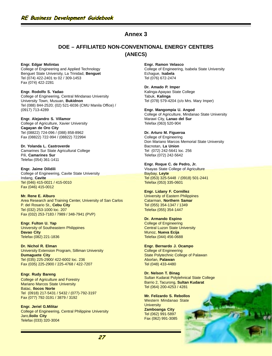### **DOE – AFFILIATED NON-CONVENTIONAL ENERGY CENTERS (ANECS)**

**Engr. Edgar Molintas** College of Engineering and Applied Technology Benguet State University, La Trinidad, **Benguet** Tel (074) 422-2401 to 02 / 309-1453 Fax (074) 422-2281

**Engr. Rodolfo S. Yadao** College of Engineering, Central Mindanao University University Town, Musuan, **Bukidnon** Tel (088) 844-2520; (02) 521-6036 (CMU Manila Office) / (0917) 713-4289

**Engr. Alejandro S. Villamor** College of Agriculture, Xavier University **Cagayan de Oro City** Tel (08822) 724-096 / (088) 858-8962 Fax (08822) 722-994 / (08822) 722994

**Dr. Yolanda L. Castroverde** Camarines Sur State Agricultural College Pili, **Camarines Sur** Telefax (054) 361-1411

**Engr. Jaime Dilidili** College of Engineering, Cavite State University Indang, **Cavite** Tel (046) 415-0021 / 415-0010 Fax (046) 415-0012

**Mr. Rene E. Alburo** Area Research and Training Center, University of San Carlos P. del Rosario St., **Cebu City** Tel (032) 253-1000 loc. 207 Fax (032) 253-7183 / 7989 / 348-7941 (PVP)

**Engr. Fulton U. Yap** University of Southeastern Philippines **Davao City** Telefax (082) 221-1836

**Dr. Nichol R. Elman** University Extension Program, Silliman University **Dumaguete City** Tel (035) 225-2900/ 422-6002 loc. 236 Fax (035) 225-2900 / 225-4768 / 422-7207

**Engr. Rudy Bareng** College of Agriculture and Forestry Mariano Marcos State University Batac, **Ilocos Norte** Tel (0918) 217-5431 / 5432 / (077)-792-3197 Fax (077) 792-3191 / 3879 / 3192

**Engr. Jeriel G.Militar** College of Engineering, Central Philippine University Jaro,**Iloilo City** Telefax (033) 320-3004

**Engr. Ramon Velasco** College of Engineering, Isabela State University Echague, **Isabela** Tel (076) 672-2474

**Dr. Amado P. Imper** Kalinga-Apayao State College Tabuk, **Kalinga** Tel (078) 579-4204 (c/o Mrs. Mary Imper)

**Engr. Mangompia U. Angod** College of Agriculture, Mindanao State University Marawi City, **Lanao del Sur** Telefax (063) 520-904

**Dr. Arturo M. Figueroa** College of Engineering Don Mariano Marcos Memorial State University Bacnotan, **La Union** Tel (072) 242-5641 loc. 256 Telefax (072) 242-5642

**Engr. Roque C. de Pedro, Jr.** Visayas State College of Agriculture Baybay, **Leyte** Tel (053) 325-5448 / (0918) 501-2441 Telefax (053) 335-0601

**Engr. Lidany F. Cornillez** University of Eastern Philippines Catarman, **Northern Samar** Tel (055) 354-1347 / 1349 Telefax (055) 354-1447

**Dr. Armando Espino** College of Engineering Central Luzon State University Munoz, **Nueva Ecija** Telefax (044) 456-0688

**Engr. Bernardo J. Ocampo** College of Engineering State Polytechnic College of Palawan Aborlan, **Palawan** Tel (048) 433-4480

**Dr. Nelson T. Binag** Sultan Kudarat Polytehnical State College Barrio 2, Tacurong, **Sultan Kudarat** Tel (064) 200-4253 / 4281

**Mr. Felizardo S. Rebollos** Western Mindanao State **University Zamboanga City** Tel (062) 991-5897 Fax (062) 991-3085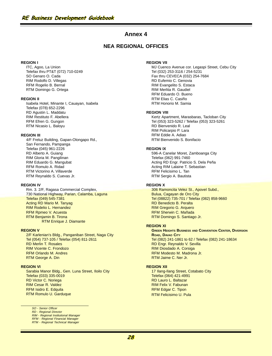### **NEA REGIONAL OFFICES**

#### **REGION I**

ITC, Agoo, La Union Telefax thru PT&T (072) 710-0249 SO Genaro O. Cada RIM Rodolfo D. Villegas RFM Rogelio B. Bernal RTM Domingo G. Ortega

#### **REGION II**

Isabela Hotel, Minante I, Cauayan, Isabela Telefax (078) 652-2296 RD Agustin L. Maddatu RIM Restituto F. Abellera RFM Efren G. Gungon RTM Nicasio L. Baloyu

#### **REGION III**

4/F Freluz Building, Gapan-Olongapo Rd., San Fernando, Pampanga Telefax (045) 961-2226 RD Alberto A. Guiang RIM Gloria M. Pangilinan RIM Eduardo G. Mangubat RFM Romulo A. Ridad RTM Victorino A. Villaverde RTM Reynaldo S. Cuevas Jr.

#### **REGION IV**

Rm. 3. 2/F, Ragasa Commercial Complex, 730 National Highway, Parian, Calamba, Laguna Telefax (049) 545-7381 Acting RD Mario M. Tanyag RIM Rodelio L. Hernandez RFM Rpmeo V. Acuesta RTM Benjamin B. Tirona RTM Enrique J. Diamante

#### **REGION V**

2/F Karlenian's Bldg., Panganiban Street, Naga City Tel (054) 737-105 / Telefax (054) 811-2611 RD Merlin T. Rosales RIM Vicente C. Frondozo RFM Orlando M. Andres RTM George A. Din

#### **REGION VI**

Sarabia Manor Bldg., Gen. Luna Street, Iloilo City Telefax (033) 335-0019 RD Victor C. Noriega RIM Cesar R. Valdez RFM Isidro E. Edquila RTM Romulo U. Garduque

#### SO - Senior Officer

RD - Regional Director RIM - Regional Institutional Manager RFM - Regional Financial Manager RTM - Regional Technical Manager

#### **REGION VII**

MJ Cuenco Avenue cor. Legaspi Street, Cebu City Tel (032) 253-3116 / 254-5231 Fax thru CEVECA (032) 254-7684 RD Eufemio C. Genovia RIM Evangelito S. Estaca RIM Merlita R. Gaudiel RFM Eduardo O. Bueno RTM Elias C. Casiño RTM Honorio M. Samia

#### **REGION VIII**

Kertz Apartment, Marasbaras, Tacloban City Tel (053) 323-5262 / Telefax (053) 323-5261 RD Bienvenido R. Leal RIM Policarpio P. Lara RFM Eddie A. Adiao RTM Bienvenido S. Bonifacio

#### **REGION IX**

596-A Canelar Moret, Zamboanga City Telefax (062) 991-7460 Acting RD Engr. Patricio S. Dela Peña Acting RIM Lalaine T. Sebastian RFM Felicisimo L. Tan RTM Sergio A. Bautista

#### **REGION X**

306 Ramoncita Velez St., Apovel Subd., Bulua, Cagayan de Oro City Tel (08822) 735-701 / Telefax (082) 858-9660 RD Benedicto B. Peralta RIM Gregorio G. Arquero RFM Sherwin C. Mañada RTM Domingo S. Santiago Jr.

#### **REGION XI**

**GREEN HEIGHTS BUSINESS AND CONVENTION CENTER, DIVERSION ROAD, DAVAO CITY** Tel (082) 241-1861 to 62 / Telefax (082) 241-18634 RD Engr. Reynaldo V. Sevilla RIM Diosdado A. Corsiga RFM Modesto M. Madrona Jr. RTM Jaime C. Ner Jr.

#### **REGION XII**

17 Ilang-Ilang Street, Cotabato City Telefax (064) 421-4991 RD Lauro L. Baltazar RIM Felix V. Fabunan RFM Edgar C. Tipon RTM Felicisimo U. Pula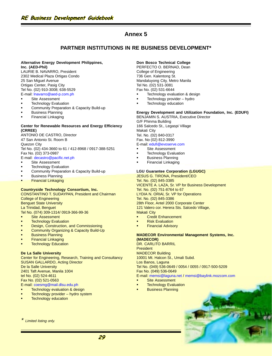### **PARTNER INSTITUTIONS IN RE BUSINESS DEVELOPMENT\***

#### **Alternative Energy Development Philippines, Inc. (AED-Phil)**

LAURIE B. NAVARRO, President 2302 Medical Plaza Ortigas Condo 25 San Miguel Avenue Ortigas Center, Pasig City Tel No. (02) 910-3008; 638-5529 E-mail: lnavarro@aed-p.com.ph

- § Site Assessment
- Technology Evaluation
- Community Preparation & Capacity Build-up
- § Business Planning
- § Financial Linkaging

#### **Center for Renewable Resources and Energy Efficiency (CRREE)**

ANTONIO DE CASTRO, Director 47 San Antonio St. Room B Quezon City Tel No. (02) 434-3660 to 61 / 412-8968 / 0917-388-5251 Fax No. (02) 373-0987 E-mail: decastro@pacific.net.ph

#### Site Assessment

- **Technology Evaluation**
- Community Preparation & Capacity Build-up
- § Business Planning
- § Financial Linkaging

#### **Countryside Technology Consortium, Inc.**

CONSTANTINO T. SUDAYPAN, President and Chairman College of Engineering Benguet State University La Trinidad, Benguet Tel No. (074) 309-1314/ 0919-366-99-36 Site Assessment

- **Technology Evaluation**
- Design, Construction, and Commissioning
- § Community Organizing & Capacity Build-Up
- § Business Planning
- § Financial Linkaging
- **Technology Education**

#### **De La Salle University**

Center for Engineering, Research, Training and Consultancy SUSAN GALLARDO, Acting Director De la Salle University 2401 Taft Avenue, Manila 1004 tel No. (02) 524-4611 Fax No. (02) 521-0563 E-mail: coesmg@mail.dlsu.edu.ph Technology evaluation & design

- Technology provider hydro system
- Technology education

#### **Limited listing only.**

#### **Don Bosco Technical College**

PERFECTO O. BERNAD, Dean College of Engineering 736 Gen. Kalentong St. Mandaluyong City, Metro Manila Tel No. (02) 531-3081 Fax No. (02) 531-6644

- Technology evaluation & design
- § Technology provider hydro
- Technology education

#### **Energy Development and Utilization Foundation, Inc. (EDUFI)**

BENJAMIN S. AUSTRIA, Executive Director G/F Phinma Building 166 Salcedo St., Legaspi Village Makati City Tel. No. (02) 840-0317 Fax. No (02) 812-3990 E-mail: edufi@evoserve.com

- Site Assessment
- Technology Evaluation
- § Business Planning
- § Financial Linkaging

#### **LGU Guarantee Corporation (LGUGC)**

JESUS G. TIRONA, President/CEO Tel. No. (02) 845-3385 VICENTE A. LAZA, Sr. VP for Business Development Tel. No. (02) 751-8764 to 67 LYDIA N. ORIAI, Sr. VP for Operations Tel. No. (02) 845-3386 28th Floor, Antel 2000 Corporate Center 121 Valero cor. Herera Sts. Salcedo Village, Makati City

- § Credit Enhancement
- § Risk Evaluation
- § Financial Advisory

#### **MADECOR Environmental Management Systems, Inc. (MADECOR)**

DR. CARLITO BARRIL President MADECOR Building 10001 Mt. Halcon St., Umali Subd. Los Banos, Laguna Tel No. (049) 536-0649 / 0054 / 0055 / 0917-500-5209 Fax No. (049) 536-0649 E-mail: memsi@laguna.net / memsi@baylink.mozcom.com

- Site Assessment
- **Technology Evaluation**
- § Business Planning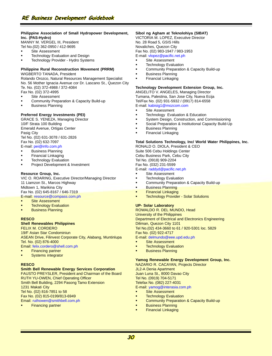#### **Philippine Association of Small Hydropower Development, Inc. (PAS-Hydro)**

MANNY M. VERGEL III, President Tel No.(02) 362-0950 / 412-9695

- § Site Assessment
- Technology Evaluation and Design
- Technology Provider Hydro Systems

### **Philippine Rural Reconstruction Movement (PRRM)**

WIGBERTO TANADA, President

Rolando Orozco, Natural Resources Management Specialist No. 56 Mother Ignacia Avenue cor Dr. Lascano St., Quezon City Te. No. (02) 372-4988 / 372-4084

- Fax No. (02) 372-4995
- § Site Assessment
- § Community Preparation & Capacity Build-up
- § Business Planning

#### **Preferred Energy Investments (PEI)**

GRACE S. YENEZA, Managing Director 10/F Strata 100 Building Emerald Avenue, Ortigas Center Pasig City Tel No. (02) 631-3078 / 631-2826 Fax No. (02) 632-7097 E-mail: pei@info.com.ph

- § Business Planning
- § Financial Linkaging
- **Technology Evaluation**
- § Project Development & Investment

#### **Resource Group, Inc.**

VIC O. ROARING, Executive Director/Managing Director 11 Liamzon St., Marcos Highway Midtown 1, Marikina City Fax No. (02) 645-8167 / 646-7319 E-mail: resource@compass.com.ph

- Site Assessment
- **Technology Evaluation**
- § Business Planning

#### **RESCO**

#### **Shell Renewables Philippines**

FELIX M. CORDERO

19/F Asian Star Condominiun ASEAN Drive, Filinvest Corporate City, Alabang, Muntinlupa Tel. No. (02) 876-4000

Email: felix.cordero@shell.com.ph

- Financing partner
- § Systems integrator

#### **RESCO**

#### **Smith Bell Renewable Energy Services Corporation**

FAUSTO PREYSLER, President and Chairman of the Board RUTH YU-OWEN, Chief Operating Officer Smith Bell Building, 2294 Pasong Tamo Extension 1231 Makati City Tel No. (02) 816-7851 to 58 Fax No. (02) 815-0199/813-6949 Email: ruthowen@smithbell.com.ph

**Financing partner** 

#### **Sibol ng Agham at Teknolohiya (SIBAT)**

VICTORIA M. LOPEZ, Executive Director No. 28 Road 5, GSIS Hills Novaliches, Quezon City

Fax No. (02) 983-1947 / 983-1953 E-mail: vlopez@pacific.net.ph

- Site Assessment
- 
- **Technology Evaluation**
- § Community Preparation & Capacity Build-up § Business Planning
- § Financial Linkaging

#### **Technology Development Extension Group, Inc.**

ANGELITO V. ANGELES, Managing Director Tumana, Palestina, San Jose City, Nueva Ecija Tel/Fax No. (02) 931-5932 / (0917) 814-6558 E-mail: kabisig1@mozcom.com

- Site Assessment
- § Technology Evaluation & Education
- System Design, Construction, and Commissioning
- § Social Preparation & Institutional Capacity Build-Up
- § Business Planning
- § Financial Linkaging

#### **Total Solutions Technology, Inc/ World Water Philippines, Inc.**

RONALD O. DIOLA, President & CEO Suite 506 Cebu Holdings Center Cebu Business Park, Cebu City Tel No. (0918) 909-2204 Fax No. (032) 231-5599

#### E-mail: raddyd@pacific.net.ph

- Site Assessment
- **Technology Evaluation**
- § Community Preparation & Capacity Build-up
- § Business Planning
- § Financial Linkaging
- **Technology Provider Solar Solutions**

#### **UP- Solar Laboratory**

ROWALDO R. DEL MUNDO, Head University of the Philippines Department of Electrical and Electronics Engineering Diliman, Quezon City 1101 Tel No.(02) 434-3660 to 61 / 920-5301 loc. 5829 Fax No. (02) 922-4717 E-mail: delmundo@eee.upd.edu.ph

Site Assessment

- 
- **Technology Evaluation** § Business Planning
- 

### **Yamog Renewable Energy Development Group, Inc.**

NAZARIO R. CACAYAN, Projects Director JL2-A Denia Apartment Juan Luna St., 8000 Davao City Tel No. (0919) 704-5171 Telefax No. (082) 227-4031 E-mail: yamog@interasia.com.ph

- Site Assessment
- **Technology Evaluation**
- **Community Preparation & Capacity Build-up**
- § Business Planning
- § Financial Linkaging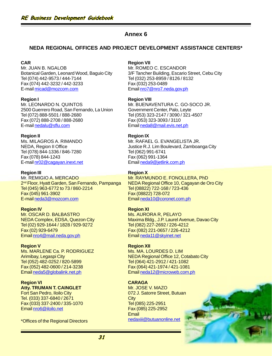### **NEDA REGIONAL OFFICES AND PROJECT DEVELOPMENT ASSISTANCE CENTERS\***

#### **CAR**

Mr. JUAN B. NGALOB Botanical Garden, Leonard Wood, Baguio City Tel (074) 442-9573 / 444-7144 Fax (074) 442-3232 / 442-3233 E-mail micad@mozcom.com

**Region I** Mr. LEONARDO N. QUINTOS 2500 Guerrero Road, San Fernando, La Union Tel (072) 888-5501 / 888-2680 Fax (072) 888-2708 / 888-2680 E-mail nedalu@sflu.com

**Region II** Ms. MILAGROS A. RIMANDO NEDA, Region II Office Tel (078) 844-1336 / 846-7280

Fax (078) 844-1243 E-mail nr02@cagayan.inext.net

**Region III** Mr. REMIGIO A. MERCADO 2<sup>nd</sup> Floor, Hyatt Garden, San Fernando, Pampanga Tel (045) 963-6772 to 73 / 860-2214 Fax (045) 961-3902 E-mail neda3@mozcom.com

**Region IV** Mr. OSCAR D. BALBASTRO NEDA Complex, EDSA, Quezon City Tel (02) 929-1644 / 1828 / 929-9272 Fax (02) 929-6479 Email nro4@mail.neda.gov.ph

**Region V** Ms. MARLENE Ca. P. RODRIGUEZ Arimibay, Legaspi City Tel (052) 482-0252 / 820-5899 Fax (052) 482-0600 / 214-3238 Email neda5@globalink.net.ph

**Region VI Atty. TRUMAN T. CAINGLET** Fort San Pedro, Iloilo City Tel. (033) 337-6840 / 2671 Fax (033) 337-2400 / 335-1070 Email nro6@iloilo.net

### **Region VII**

Mr. ROMEO C. ESCANDOR 3/F Tancher Building, Escario Street, Cebu City Tel (032) 253-8959 / 8126 / 8132 Fax (032) 253-0489 Email nro7@nro7.neda.gov.ph

#### **Region VIII**

Mr. BUENAVENTURA C. GO-SOCO JR. Government Center, Palo, Leyte Tel (053) 323-2147 / 3090 / 321-4507 Fax (053) 323-3093 / 3110 Email neda8@mail.evis.net.ph

#### **Region IX**

Mr. RAFAEL G. EVANGELISTA JR. Justice R.J. Lim Boulevard, Zamboanga City Tel (062) 991-6741 Fax (062) 991-1364 Email neda9@jetlink.com.ph

#### **Region X**

Mr. RAYMUNDO E. FONOLLERA, PhD NEDA Regional Office 10, Cagayan de Oro City Tel (08822) 722-168 / 723-436 Fax (08822) 728-072 Email neda10@coronet.com.ph

#### **Region XI**

Ms. AURORA R, PELAYO Maxima Bldg., J.P. Laurel Avenue, Davao City Tel (082) 227-2692 / 226-4212 Fax (082) 221-0657 / 226-4212 Email neda11@skyinet.net

#### **Region XII**

Ms. MA. LOURDES D. LIM NEDA Regional Office 12, Cotabato City Tel (064) 421-2912 / 421-1082 Fax (064) 421-1974 / 421-1081 Email neda12@microweb.com.ph

### **CARAGA**

Mr. JOSE V. MAZO 072 J. Satorre Street, Butuan **City** Tel (085) 225-2951 Fax (085) 225-2952 **Email** nedaxiii@butuanonline.net \*Offices of the Regional Directors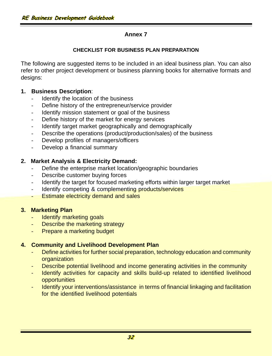# **CHECKLIST FOR BUSINESS PLAN PREPARATION**

The following are suggested items to be included in an ideal business plan. You can also refer to other project development or business planning books for alternative formats and designs:

# **1. Business Description**:

- Identify the location of the business
- Define history of the entrepreneur/service provider
- Identify mission statement or goal of the business
- Define history of the market for energy services
- Identify target market geographically and demographically
- Describe the operations (product/production/sales) of the business
- Develop profiles of managers/officers
- Develop a financial summary

# **2. Market Analysis & Electricity Demand:**

- Define the enterprise market location/geographic boundaries
- Describe customer buying forces
- Identify the target for focused marketing efforts within larger target market
- Identify competing & complementing products/services
- **Estimate electricity demand and sales**

# **3. Marketing Plan**

- Identify marketing goals
- Describe the marketing strategy
- Prepare a marketing budget

# **4. Community and Livelihood Development Plan**

- Define activities for further social preparation, technology education and community organization
- Describe potential livelihood and income generating activities in the community
- Identify activities for capacity and skills build-up related to identified livelihood **opportunities**
- Identify your interventions/assistance in terms of financial linkaging and facilitation for the identified livelihood potentials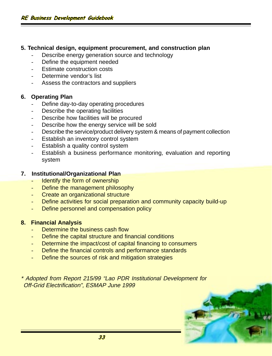### **5. Technical design, equipment procurement, and construction plan**

- Describe energy generation source and technology
- Define the equipment needed
- Estimate construction costs
- Determine vendor's list
- Assess the contractors and suppliers

### **6. Operating Plan**

- Define day-to-day operating procedures
- Describe the operating facilities
- Describe how facilities will be procured
- Describe how the energy service will be sold
- Describe the service/product delivery system & means of payment collection
- Establish an inventory control system
- Establish a quality control system
- Establish a business performance monitoring, evaluation and reporting system

### **7. Institutional/Organizational Plan**

- Identify the form of ownership
- Define the management philosophy
- Create an organizational structure
- Define activities for social preparation and community capacity build-up
- Define personnel and compensation policy

# **8. Financial Analysis**

- Determine the business cash flow
- Define the capital structure and financial conditions
- Determine the impact/cost of capital financing to consumers
- Define the financial controls and performance standards
- Define the sources of risk and mitigation strategies

\* Adopted from Report 215/99 "Lao PDR Institutional Development for Off-Grid Electrification", ESMAP June 1999

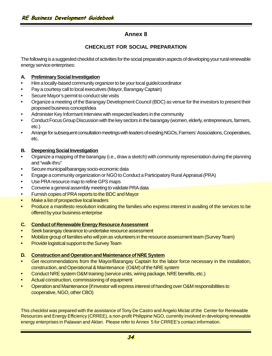### **CHECKLIST FOR SOCIAL PREPARATION**

The following is a suggested checklist of activities for the social preparation aspects of developing your rural renewable energy service enterprises:

### **A. Preliminary Social Investigation**

- Hire a locally-based community organizer to be your local guide/coordinator
- Pay a courtesy call to local executives (Mayor, Barangay Captain)
- Secure Mayor's permit to conduct site visits
- Organize a meeting of the Barangay Development Council (BDC) as venue for the investors to present their proposed business concept/idea
- Administer Key Informant Interview with respected leaders in the community
- Conduct Focus Group Discussion with the key sectors in the barangay (women, elderly, entrepreneurs, farmers, etc.)
- Arrange for subsequent consultation meetings with leaders of existing NGOs, Farmers' Associations, Cooperatives, etc.

### **B. Deepening Social Investigation**

- Organize a mapping of the barangay (i.e., draw a sketch) with community representation during the planning and "walk-thru"
- Secure municipal/barangay socio-economic data
- Engage a community organization or NGO to Conduct a Participatory Rural Appraisal (PRA)
- Use PRA resource map to refine GPS maps
- Convene a general assembly meeting to validate PRA data
- Furnish copies of PRA reports to the BDC and Mayor
- Make a list of prospective local leaders
- Produce a manifesto resolution indicating the families who express interest in availing of the services to be offered by your business enterprise

### **C. Conduct of Renewable Energy Resource Assessment**

- Seek barangay clearance to undertake resource assessment
- Mobilize group of families who will join as volunteers in the resource assessment team (Survey Team)
- Provide logistical support to the Survey Team

### **D. Construction and Operation and Maintenance of NRE System**

- Get recommendations from the Mayor/Barangay Captain for the labor force necessary in the installation, construction, and Operational & Maintenance (O&M) of the NRE system
- Conduct NRE system O&M training (service units, wiring package, NRE benefits, etc.)
- Actual construction, commissioning of equipment
- Operation and Maintenance (if investor will express interest of handing over O&M responsibilities to cooperative, NGO, other CBO)

This checklist was prepared with the assistance of Tony De Castro and Angelo Miclat of the Center for Renewable Resources and Energy Efficiency (CRREE), a non-profit Philippine NGO, currently involved in developing renewable energy enterprises in Palawan and Aklan. Please refer to Annex 5 for CRREE's contact information.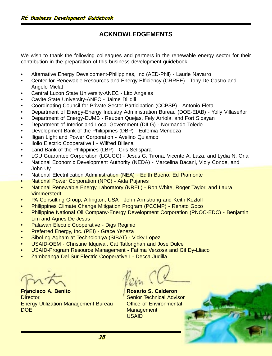# **ACKNOWLEDGEMENTS**

We wish to thank the following colleagues and partners in the renewable energy sector for their contribution in the preparation of this business development guidebook.

- Alternative Energy Development-Philippines, Inc (AED-Phil) Laurie Navarro
- Center for Renewable Resources and Energy Efficiency (CRREE) Tony De Castro and Angelo Miclat
- Central Luzon State University-ANEC Lito Angeles
- Cavite State University-ANEC Jaime Dilidili
- Coordinating Council for Private Sector Participation (CCPSP) Antonio Fleta
- Department of Energy-Energy Industry Administration Bureau (DOE-EIAB) Yolly Villaseñor
- Department of Energy-EUMB Reuben Quejas, Fely Arriola, and Fort Sibayan
- Department of Interior and Local Government (DILG) Normando Toledo
- Development Bank of the Philippines (DBP) Eufemia Mendoza
- Iligan Light and Power Corporation Avelino Quiamco
- Iloilo Electric Cooperative I Wilfred Billena
- Land Bank of the Philippines (LBP) Cris Selispara
- LGU Guarantee Corporation (LGUGC) Jesus G. Tirona, Vicente A. Laza, and Lydia N. Orial
- National Economic Development Authority (NEDA) Marcelina Bacani, Violy Conde, and John Uy
- National Electrification Administration (NEA) Edith Bueno, Ed Piamonte
- National Power Corporation (NPC) Aida Pujanes
- National Renewable Energy Laboratory (NREL) Ron White, Roger Taylor, and Laura Vimmerstedt
- PA Consulting Group, Arlington, USA John Armstrong and Keith Kozloff
- Philippines Climate Change Mitigation Program (PCCMP) Renato Goco
- Philippine National Oil Company-Energy Development Corporation (PNOC-EDC) Benjamin Lim and Agnes De Jesus
- Palawan Electric Cooperative Digs Reginio
- Preferred Energy, Inc. (PEI) Grace Yeneza
- Sibol ng Agham at Technolohiya (SIBAT) Vicky Lopez
- USAID-OEM Christine Idquival, Cat Tatlonghari and Jose Dulce
- USAID-Program Resource Management Fatima Verzosa and Gil Dy-Lliaco
- Zamboanga Del Sur Electric Cooperative I Decca Judilla

**Francisco A. Benito** Director, Energy Utilization Management Bureau DOE

**Rosario S. Calderon** Senior Technical Advisor Office of Environmental **Management** USAID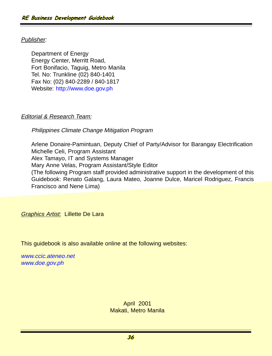# Publisher:

Department of Energy Energy Center, Merritt Road, Fort Bonifacio, Taguig, Metro Manila Tel. No: Trunkline (02) 840-1401 Fax No: (02) 840-2289 / 840-1817 Website: http://www.doe.gov.ph

# **Editorial & Research Team:**

Philippines Climate Change Mitigation Program

Arlene Donaire-Pamintuan, Deputy Chief of Party/Advisor for Barangay Electrification Michelle Celi, Program Assistant Alex Tamayo, IT and Systems Manager Mary Anne Velas, Program Assistant/Style Editor (The following Program staff provided administrative support in the development of this Guidebook: Renato Galang, Laura Mateo, Joanne Dulce, Maricel Rodriguez, Francis Francisco and Nene Lima)

**Graphics Artist: Lillette De Lara** 

This guidebook is also available online at the following websites:

www.ccic.ateneo.net www.doe.gov.ph

> April 2001 Makati, Metro Manila